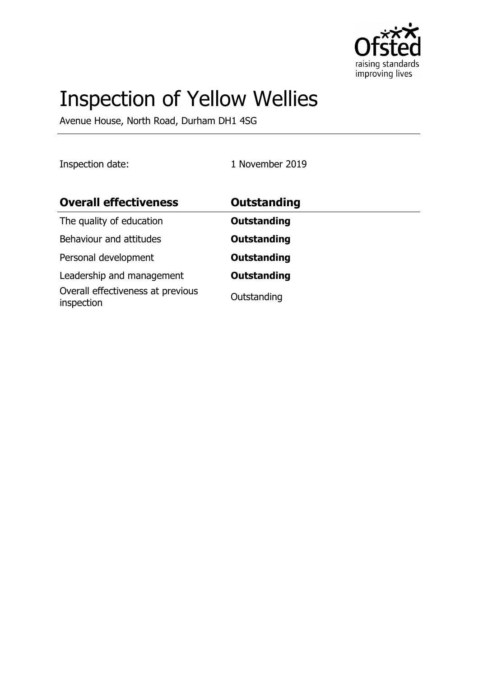

# Inspection of Yellow Wellies

Avenue House, North Road, Durham DH1 4SG

Inspection date: 1 November 2019

| <b>Overall effectiveness</b>                    | <b>Outstanding</b> |
|-------------------------------------------------|--------------------|
| The quality of education                        | <b>Outstanding</b> |
| Behaviour and attitudes                         | <b>Outstanding</b> |
| Personal development                            | <b>Outstanding</b> |
| Leadership and management                       | <b>Outstanding</b> |
| Overall effectiveness at previous<br>inspection | Outstanding        |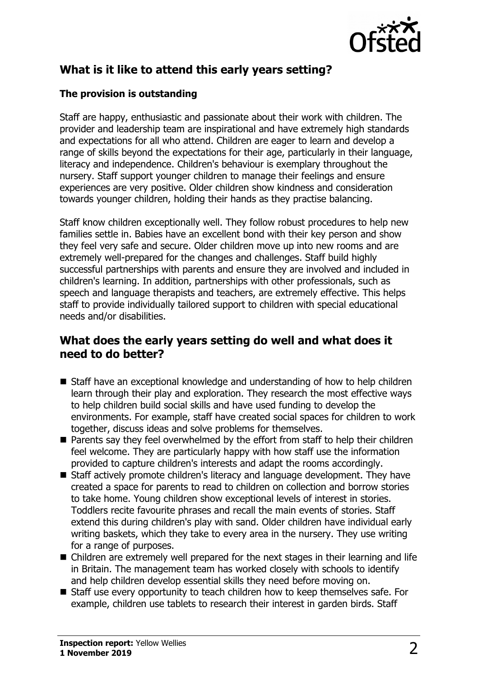

## **What is it like to attend this early years setting?**

#### **The provision is outstanding**

Staff are happy, enthusiastic and passionate about their work with children. The provider and leadership team are inspirational and have extremely high standards and expectations for all who attend. Children are eager to learn and develop a range of skills beyond the expectations for their age, particularly in their language, literacy and independence. Children's behaviour is exemplary throughout the nursery. Staff support younger children to manage their feelings and ensure experiences are very positive. Older children show kindness and consideration towards younger children, holding their hands as they practise balancing.

Staff know children exceptionally well. They follow robust procedures to help new families settle in. Babies have an excellent bond with their key person and show they feel very safe and secure. Older children move up into new rooms and are extremely well-prepared for the changes and challenges. Staff build highly successful partnerships with parents and ensure they are involved and included in children's learning. In addition, partnerships with other professionals, such as speech and language therapists and teachers, are extremely effective. This helps staff to provide individually tailored support to children with special educational needs and/or disabilities.

## **What does the early years setting do well and what does it need to do better?**

- $\blacksquare$  Staff have an exceptional knowledge and understanding of how to help children learn through their play and exploration. They research the most effective ways to help children build social skills and have used funding to develop the environments. For example, staff have created social spaces for children to work together, discuss ideas and solve problems for themselves.
- $\blacksquare$  Parents say they feel overwhelmed by the effort from staff to help their children feel welcome. They are particularly happy with how staff use the information provided to capture children's interests and adapt the rooms accordingly.
- $\blacksquare$  Staff actively promote children's literacy and language development. They have created a space for parents to read to children on collection and borrow stories to take home. Young children show exceptional levels of interest in stories. Toddlers recite favourite phrases and recall the main events of stories. Staff extend this during children's play with sand. Older children have individual early writing baskets, which they take to every area in the nursery. They use writing for a range of purposes.
- $\blacksquare$  Children are extremely well prepared for the next stages in their learning and life in Britain. The management team has worked closely with schools to identify and help children develop essential skills they need before moving on.
- $\blacksquare$  Staff use every opportunity to teach children how to keep themselves safe. For example, children use tablets to research their interest in garden birds. Staff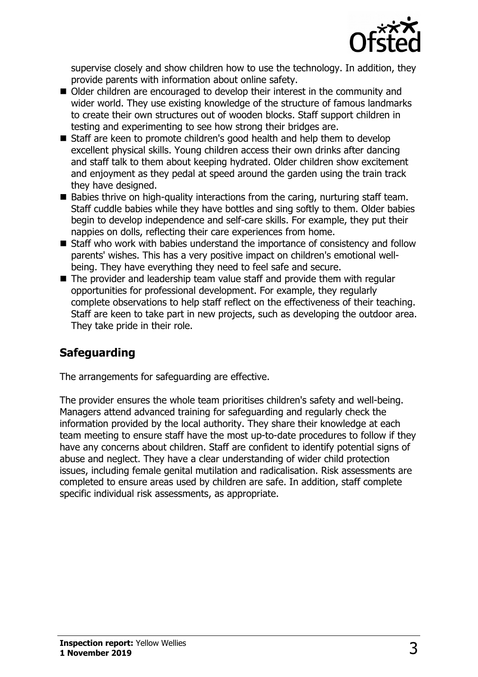

supervise closely and show children how to use the technology. In addition, they provide parents with information about online safety.

- Older children are encouraged to develop their interest in the community and wider world. They use existing knowledge of the structure of famous landmarks to create their own structures out of wooden blocks. Staff support children in testing and experimenting to see how strong their bridges are.
- $\blacksquare$  Staff are keen to promote children's good health and help them to develop excellent physical skills. Young children access their own drinks after dancing and staff talk to them about keeping hydrated. Older children show excitement and enjoyment as they pedal at speed around the garden using the train track they have designed.
- $\blacksquare$  Babies thrive on high-quality interactions from the caring, nurturing staff team. Staff cuddle babies while they have bottles and sing softly to them. Older babies begin to develop independence and self-care skills. For example, they put their nappies on dolls, reflecting their care experiences from home.
- $\blacksquare$  Staff who work with babies understand the importance of consistency and follow parents' wishes. This has a very positive impact on children's emotional wellbeing. They have everything they need to feel safe and secure.
- $\blacksquare$  The provider and leadership team value staff and provide them with regular opportunities for professional development. For example, they regularly complete observations to help staff reflect on the effectiveness of their teaching. Staff are keen to take part in new projects, such as developing the outdoor area. They take pride in their role.

## **Safeguarding**

The arrangements for safeguarding are effective.

The provider ensures the whole team prioritises children's safety and well-being. Managers attend advanced training for safeguarding and regularly check the information provided by the local authority. They share their knowledge at each team meeting to ensure staff have the most up-to-date procedures to follow if they have any concerns about children. Staff are confident to identify potential signs of abuse and neglect. They have a clear understanding of wider child protection issues, including female genital mutilation and radicalisation. Risk assessments are completed to ensure areas used by children are safe. In addition, staff complete specific individual risk assessments, as appropriate.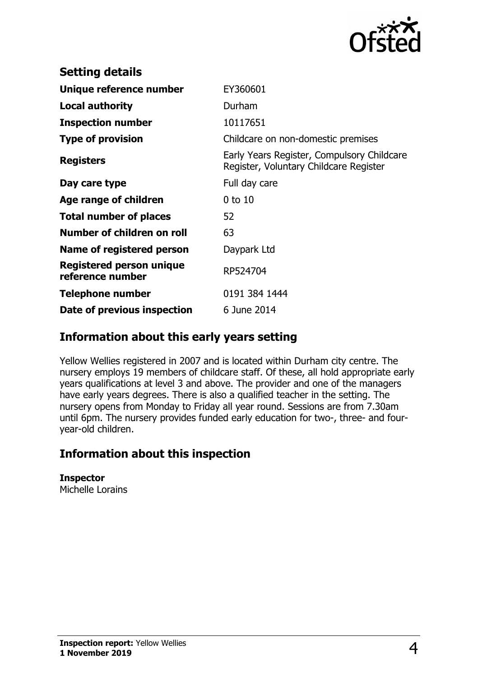

| <b>Setting details</b>                              |                                                                                      |
|-----------------------------------------------------|--------------------------------------------------------------------------------------|
| Unique reference number                             | EY360601                                                                             |
| <b>Local authority</b>                              | Durham                                                                               |
| <b>Inspection number</b>                            | 10117651                                                                             |
| <b>Type of provision</b>                            | Childcare on non-domestic premises                                                   |
| <b>Registers</b>                                    | Early Years Register, Compulsory Childcare<br>Register, Voluntary Childcare Register |
| Day care type                                       | Full day care                                                                        |
| Age range of children                               | $0$ to $10$                                                                          |
| <b>Total number of places</b>                       | 52                                                                                   |
| Number of children on roll                          | 63                                                                                   |
| Name of registered person                           | Daypark Ltd                                                                          |
| <b>Registered person unique</b><br>reference number | RP524704                                                                             |
| <b>Telephone number</b>                             | 0191 384 1444                                                                        |
| Date of previous inspection                         | 6 June 2014                                                                          |

## **Information about this early years setting**

Yellow Wellies registered in 2007 and is located within Durham city centre. The nursery employs 19 members of childcare staff. Of these, all hold appropriate early years qualifications at level 3 and above. The provider and one of the managers have early years degrees. There is also a qualified teacher in the setting. The nursery opens from Monday to Friday all year round. Sessions are from 7.30am until 6pm. The nursery provides funded early education for two-, three- and fouryear-old children.

## **Information about this inspection**

**Inspector** Michelle Lorains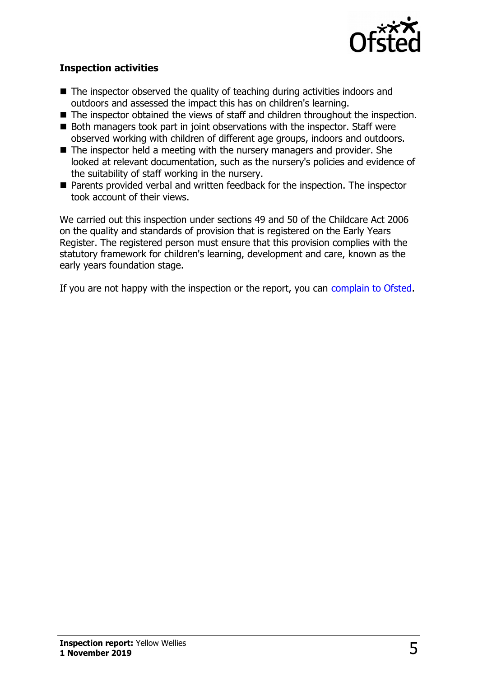

#### **Inspection activities**

- $\blacksquare$  The inspector observed the quality of teaching during activities indoors and outdoors and assessed the impact this has on children's learning.
- $\blacksquare$  The inspector obtained the views of staff and children throughout the inspection.
- $\blacksquare$  Both managers took part in joint observations with the inspector. Staff were observed working with children of different age groups, indoors and outdoors.
- $\blacksquare$  The inspector held a meeting with the nursery managers and provider. She looked at relevant documentation, such as the nursery's policies and evidence of the suitability of staff working in the nursery.
- Parents provided verbal and written feedback for the inspection. The inspector took account of their views.

We carried out this inspection under sections 49 and 50 of the Childcare Act 2006 on the quality and standards of provision that is registered on the Early Years Register. The registered person must ensure that this provision complies with the statutory framework for children's learning, development and care, known as the early years foundation stage.

If you are not happy with the inspection or the report, you can [complain to Ofsted.](http://www.gov.uk/complain-ofsted-report)